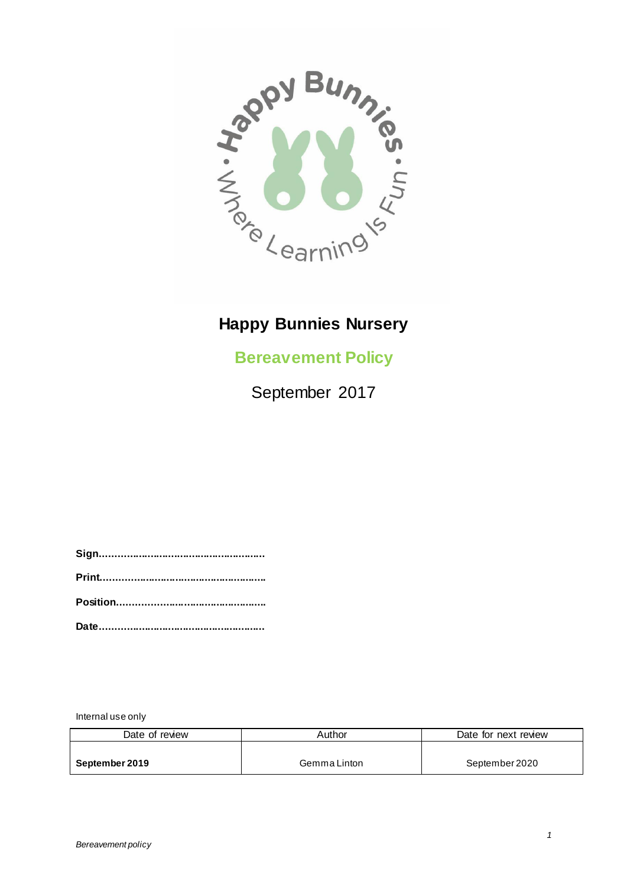

## **Happy Bunnies Nursery**

**Bereavement Policy**

September 2017

Internal use only

| Date of review | Author       | Date for next review |
|----------------|--------------|----------------------|
|                |              |                      |
| September 2019 | Gemma Linton | September 2020       |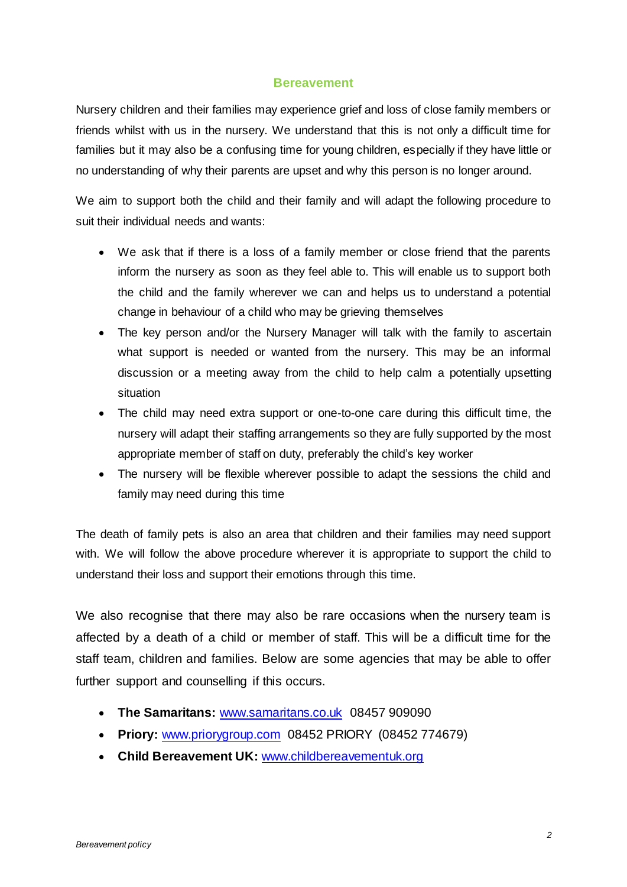## **Bereavement**

Nursery children and their families may experience grief and loss of close family members or friends whilst with us in the nursery. We understand that this is not only a difficult time for families but it may also be a confusing time for young children, especially if they have little or no understanding of why their parents are upset and why this person is no longer around.

We aim to support both the child and their family and will adapt the following procedure to suit their individual needs and wants:

- We ask that if there is a loss of a family member or close friend that the parents inform the nursery as soon as they feel able to. This will enable us to support both the child and the family wherever we can and helps us to understand a potential change in behaviour of a child who may be grieving themselves
- The key person and/or the Nursery Manager will talk with the family to ascertain what support is needed or wanted from the nursery. This may be an informal discussion or a meeting away from the child to help calm a potentially upsetting situation
- The child may need extra support or one-to-one care during this difficult time, the nursery will adapt their staffing arrangements so they are fully supported by the most appropriate member of staff on duty, preferably the child's key worker
- The nursery will be flexible wherever possible to adapt the sessions the child and family may need during this time

The death of family pets is also an area that children and their families may need support with. We will follow the above procedure wherever it is appropriate to support the child to understand their loss and support their emotions through this time.

We also recognise that there may also be rare occasions when the nursery team is affected by a death of a child or member of staff. This will be a difficult time for the staff team, children and families. Below are some agencies that may be able to offer further support and counselling if this occurs.

- **The Samaritans:** [www.samaritans.co.uk](http://www.samaritans.co.uk/) 08457 909090
- **Priory:** [www.priorygroup.com](https://www.priorygroup.com/) 08452 PRIORY (08452 774679)
- **Child Bereavement UK:** [www.childbereavementuk.org](http://www.childbereavementuk.org/)